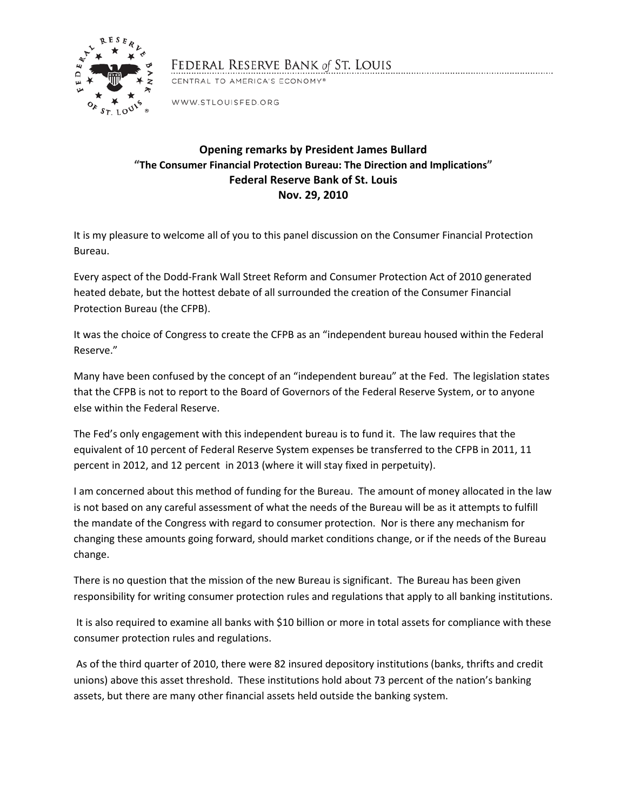

## FEDERAL RESERVE BANK of ST. LOUIS

CENTRAL TO AMERICA'S ECONOMY®

WWW.STLOUISFED.ORG

## **Opening remarks by President James Bullard "The Consumer Financial Protection Bureau: The Direction and Implications" Federal Reserve Bank of St. Louis Nov. 29, 2010**

It is my pleasure to welcome all of you to this panel discussion on the Consumer Financial Protection Bureau.

Every aspect of the Dodd-Frank Wall Street Reform and Consumer Protection Act of 2010 generated heated debate, but the hottest debate of all surrounded the creation of the Consumer Financial Protection Bureau (the CFPB).

It was the choice of Congress to create the CFPB as an "independent bureau housed within the Federal Reserve."

Many have been confused by the concept of an "independent bureau" at the Fed. The legislation states that the CFPB is not to report to the Board of Governors of the Federal Reserve System, or to anyone else within the Federal Reserve.

The Fed's only engagement with this independent bureau is to fund it. The law requires that the equivalent of 10 percent of Federal Reserve System expenses be transferred to the CFPB in 2011, 11 percent in 2012, and 12 percent in 2013 (where it will stay fixed in perpetuity).

I am concerned about this method of funding for the Bureau. The amount of money allocated in the law is not based on any careful assessment of what the needs of the Bureau will be as it attempts to fulfill the mandate of the Congress with regard to consumer protection. Nor is there any mechanism for changing these amounts going forward, should market conditions change, or if the needs of the Bureau change.

There is no question that the mission of the new Bureau is significant. The Bureau has been given responsibility for writing consumer protection rules and regulations that apply to all banking institutions.

It is also required to examine all banks with \$10 billion or more in total assets for compliance with these consumer protection rules and regulations.

As of the third quarter of 2010, there were 82 insured depository institutions (banks, thrifts and credit unions) above this asset threshold. These institutions hold about 73 percent of the nation's banking assets, but there are many other financial assets held outside the banking system.